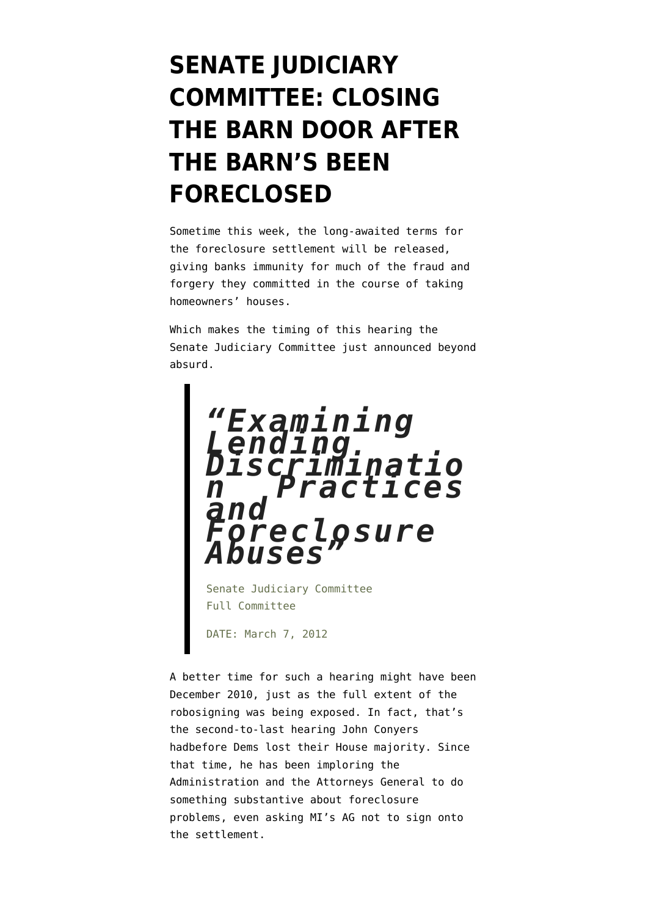## **[SENATE JUDICIARY](https://www.emptywheel.net/2012/02/29/senate-judiciary-committee-closing-the-barn-door-after-the-barns-been-foreclosed/) [COMMITTEE: CLOSING](https://www.emptywheel.net/2012/02/29/senate-judiciary-committee-closing-the-barn-door-after-the-barns-been-foreclosed/) [THE BARN DOOR AFTER](https://www.emptywheel.net/2012/02/29/senate-judiciary-committee-closing-the-barn-door-after-the-barns-been-foreclosed/) [THE BARN'S BEEN](https://www.emptywheel.net/2012/02/29/senate-judiciary-committee-closing-the-barn-door-after-the-barns-been-foreclosed/) [FORECLOSED](https://www.emptywheel.net/2012/02/29/senate-judiciary-committee-closing-the-barn-door-after-the-barns-been-foreclosed/)**

Sometime this week, the [long-awaited terms](http://news.firedoglake.com/2012/02/28/donovan-pressed-on-foreclosure-fraud-settlement-in-senate-banking-committee/) for the foreclosure settlement will be released, giving banks immunity for much of the fraud and forgery they committed in the course of taking homeowners' houses.

Which makes the timing of [this hearing](http://www.judiciary.senate.gov/hearings/hearing.cfm?id=8b30fa475a5089d793576cd94716cd14) the Senate Judiciary Committee just announced beyond absurd.

## *"Examining Lending Discriminatio n Practices and Foreclosure Abuses"*

Senate Judiciary Committee Full Committee

DATE: March 7, 2012

A better time for such a hearing might have been December 2010, just as the full extent of the robosigning was being exposed. In fact, that's the [second-to-last hearing John Conyers](http://judiciary.house.gov/hearings/hear_101215.html) [hadb](http://judiciary.house.gov/hearings/hear_101215.html)efore Dems lost their House majority. Since that time, he has been imploring the Administration and the Attorneys General to do something substantive about foreclosure problems, even asking MI's AG not to sign onto the settlement.